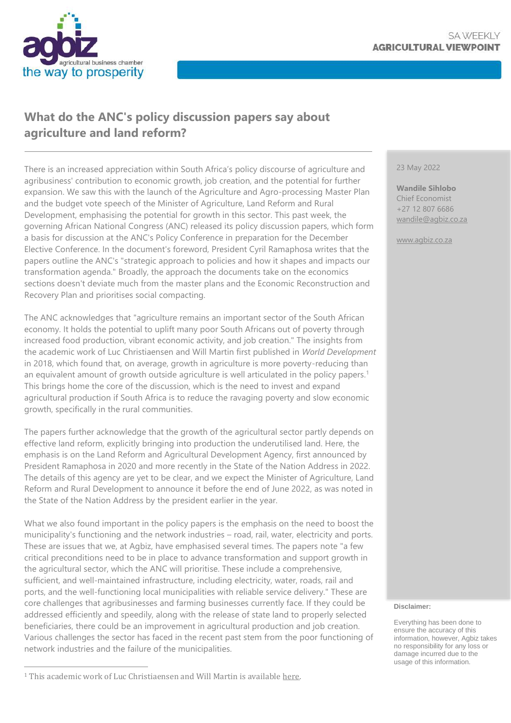

## **What do the ANC's policy discussion papers say about agriculture and land reform?**

There is an increased appreciation within South Africa's policy discourse of agriculture and agribusiness' contribution to economic growth, job creation, and the potential for further expansion. We saw this with the launch of the Agriculture and Agro-processing Master Plan and the budget vote speech of the Minister of Agriculture, Land Reform and Rural Development, emphasising the potential for growth in this sector. This past week, the governing African National Congress (ANC) released its policy discussion papers, which form a basis for discussion at the ANC's Policy Conference in preparation for the December Elective Conference. In the document's foreword, President Cyril Ramaphosa writes that the papers outline the ANC's "strategic approach to policies and how it shapes and impacts our transformation agenda." Broadly, the approach the documents take on the economics sections doesn't deviate much from the master plans and the Economic Reconstruction and Recovery Plan and prioritises social compacting.

The ANC acknowledges that "agriculture remains an important sector of the South African economy. It holds the potential to uplift many poor South Africans out of poverty through increased food production, vibrant economic activity, and job creation." The insights from the academic work of Luc Christiaensen and Will Martin first published in *World Development* in 2018, which found that, on average, growth in agriculture is more poverty-reducing than an equivalent amount of growth outside agriculture is well articulated in the policy papers.<sup>1</sup> This brings home the core of the discussion, which is the need to invest and expand agricultural production if South Africa is to reduce the ravaging poverty and slow economic growth, specifically in the rural communities.

The papers further acknowledge that the growth of the agricultural sector partly depends on effective land reform, explicitly bringing into production the underutilised land. Here, the emphasis is on the Land Reform and Agricultural Development Agency, first announced by President Ramaphosa in 2020 and more recently in the State of the Nation Address in 2022. The details of this agency are yet to be clear, and we expect the Minister of Agriculture, Land Reform and Rural Development to announce it before the end of June 2022, as was noted in the State of the Nation Address by the president earlier in the year.

What we also found important in the policy papers is the emphasis on the need to boost the municipality's functioning and the network industries – road, rail, water, electricity and ports. These are issues that we, at Agbiz, have emphasised several times. The papers note "a few critical preconditions need to be in place to advance transformation and support growth in the agricultural sector, which the ANC will prioritise. These include a comprehensive, sufficient, and well-maintained infrastructure, including electricity, water, roads, rail and ports, and the well-functioning local municipalities with reliable service delivery." These are core challenges that agribusinesses and farming businesses currently face. If they could be addressed efficiently and speedily, along with the release of state land to properly selected beneficiaries, there could be an improvement in agricultural production and job creation. Various challenges the sector has faced in the recent past stem from the poor functioning of network industries and the failure of the municipalities.

23 May 2022

**Wandile Sihlobo** Chief Economist +27 12 807 6686 [wandile@agbiz.co.za](mailto:wandile@agbiz.co.za)

[www.agbiz.co.za](http://www.agbiz.co.za/)

#### **Disclaimer:**

Everything has been done to ensure the accuracy of this information, however, Agbiz takes no responsibility for any loss or damage incurred due to the usage of this information.

<sup>&</sup>lt;sup>1</sup> This academic work of Luc Christiaensen and Will Martin is available [here.](https://www.sciencedirect.com/science/article/pii/S0305750X1830175X)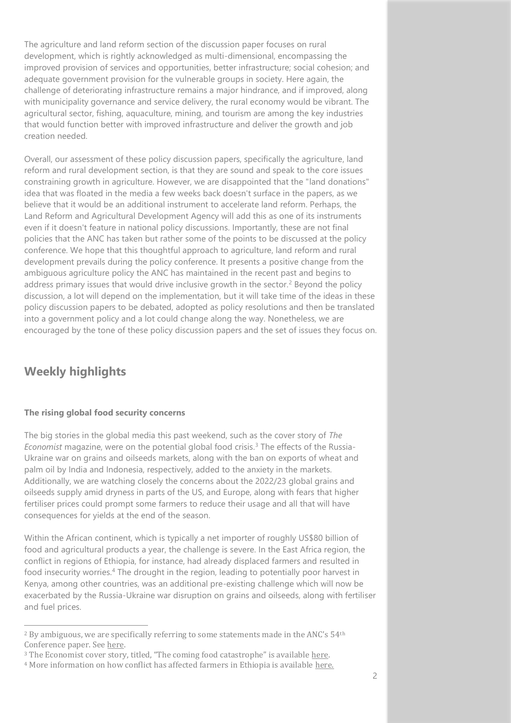The agriculture and land reform section of the discussion paper focuses on rural development, which is rightly acknowledged as multi-dimensional, encompassing the improved provision of services and opportunities, better infrastructure; social cohesion; and adequate government provision for the vulnerable groups in society. Here again, the challenge of deteriorating infrastructure remains a major hindrance, and if improved, along with municipality governance and service delivery, the rural economy would be vibrant. The agricultural sector, fishing, aquaculture, mining, and tourism are among the key industries that would function better with improved infrastructure and deliver the growth and job creation needed.

Overall, our assessment of these policy discussion papers, specifically the agriculture, land reform and rural development section, is that they are sound and speak to the core issues constraining growth in agriculture. However, we are disappointed that the "land donations" idea that was floated in the media a few weeks back doesn't surface in the papers, as we believe that it would be an additional instrument to accelerate land reform. Perhaps, the Land Reform and Agricultural Development Agency will add this as one of its instruments even if it doesn't feature in national policy discussions. Importantly, these are not final policies that the ANC has taken but rather some of the points to be discussed at the policy conference. We hope that this thoughtful approach to agriculture, land reform and rural development prevails during the policy conference. It presents a positive change from the ambiguous agriculture policy the ANC has maintained in the recent past and begins to address primary issues that would drive inclusive growth in the sector.<sup>2</sup> Beyond the policy discussion, a lot will depend on the implementation, but it will take time of the ideas in these policy discussion papers to be debated, adopted as policy resolutions and then be translated into a government policy and a lot could change along the way. Nonetheless, we are encouraged by the tone of these policy discussion papers and the set of issues they focus on.

## **Weekly highlights**

### **The rising global food security concerns**

The big stories in the global media this past weekend, such as the cover story of *The Economist* magazine, were on the potential global food crisis.<sup>3</sup> The effects of the Russia-Ukraine war on grains and oilseeds markets, along with the ban on exports of wheat and palm oil by India and Indonesia, respectively, added to the anxiety in the markets. Additionally, we are watching closely the concerns about the 2022/23 global grains and oilseeds supply amid dryness in parts of the US, and Europe, along with fears that higher fertiliser prices could prompt some farmers to reduce their usage and all that will have consequences for yields at the end of the season.

Within the African continent, which is typically a net importer of roughly US\$80 billion of food and agricultural products a year, the challenge is severe. In the East Africa region, the conflict in regions of Ethiopia, for instance, had already displaced farmers and resulted in food insecurity worries.<sup>4</sup> The drought in the region, leading to potentially poor harvest in Kenya, among other countries, was an additional pre-existing challenge which will now be exacerbated by the Russia-Ukraine war disruption on grains and oilseeds, along with fertiliser and fuel prices.

 $2$  By ambiguous, we are specifically referring to some statements made in the ANC's  $54<sup>th</sup>$ Conference paper. See [here.](https://cisp.cachefly.net/assets/articles/attachments/73640_54th_national_conference_report.pdf)

<sup>&</sup>lt;sup>3</sup> The Economist cover story, titled, "The coming food catastrophe" is available [here.](https://www.economist.com/weeklyedition/2022-05-21)

<sup>4</sup> More information on how conflict has affected farmers in Ethiopia is available [here.](https://www.downtoearth.org.in/blog/africa/how-ethiopia-s-conflict-has-affected-farming-in-tigray-78597)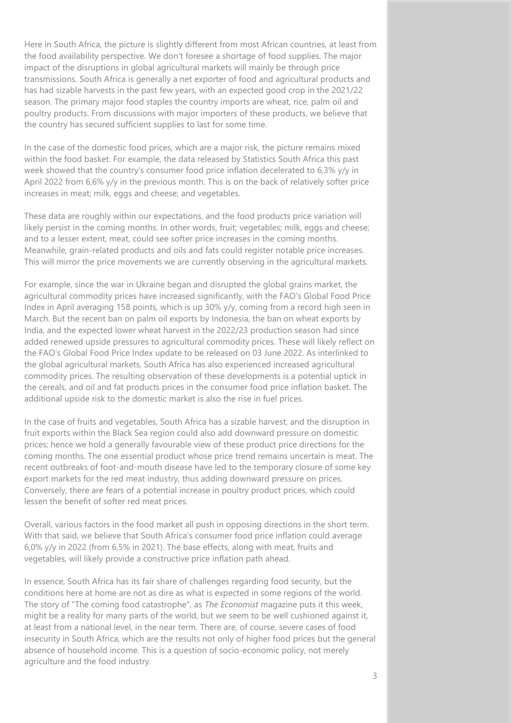Here in South Africa, the picture is slightly different from most African countries, at least from the food availability perspective. We don't foresee a shortage of food supplies. The major impact of the disruptions in global agricultural markets will mainly be through price transmissions. South Africa is generally a net exporter of food and agricultural products and has had sizable harvests in the past few years, with an expected good crop in the 2021/22 season. The primary major food staples the country imports are wheat, rice, palm oil and poultry products. From discussions with major importers of these products, we believe that the country has secured sufficient supplies to last for some time.

In the case of the domestic food prices, which are a major risk, the picture remains mixed within the food basket. For example, the data released by Statistics South Africa this past week showed that the country's consumer food price inflation decelerated to 6,3% y/y in April 2022 from 6,6% y/y in the previous month. This is on the back of relatively softer price increases in meat; milk, eggs and cheese; and vegetables.

These data are roughly within our expectations, and the food products price variation will likely persist in the coming months. In other words, fruit; vegetables; milk, eggs and cheese; and to a lesser extent, meat, could see softer price increases in the coming months. Meanwhile, grain-related products and oils and fats could register notable price increases. This will mirror the price movements we are currently observing in the agricultural markets.

For example, since the war in Ukraine began and disrupted the global grains market, the agricultural commodity prices have increased significantly, with the FAO's Global Food Price Index in April averaging 158 points, which is up 30% y/y, coming from a record high seen in March. But the recent ban on palm oil exports by Indonesia, the ban on wheat exports by India, and the expected lower wheat harvest in the 2022/23 production season had since added renewed upside pressures to agricultural commodity prices. These will likely reflect on the FAO's Global Food Price Index update to be released on 03 June 2022. As interlinked to the global agricultural markets, South Africa has also experienced increased agricultural commodity prices. The resulting observation of these developments is a potential uptick in the cereals, and oil and fat products prices in the consumer food price inflation basket. The additional upside risk to the domestic market is also the rise in fuel prices.

In the case of fruits and vegetables, South Africa has a sizable harvest, and the disruption in fruit exports within the Black Sea region could also add downward pressure on domestic prices; hence we hold a generally favourable view of these product price directions for the coming months. The one essential product whose price trend remains uncertain is meat. The recent outbreaks of foot-and-mouth disease have led to the temporary closure of some key export markets for the red meat industry, thus adding downward pressure on prices. Conversely, there are fears of a potential increase in poultry product prices, which could lessen the benefit of softer red meat prices.

Overall, various factors in the food market all push in opposing directions in the short term. With that said, we believe that South Africa's consumer food price inflation could average 6,0% y/y in 2022 (from 6,5% in 2021). The base effects, along with meat, fruits and vegetables, will likely provide a constructive price inflation path ahead.

In essence, South Africa has its fair share of challenges regarding food security, but the conditions here at home are not as dire as what is expected in some regions of the world. The story of "The coming food catastrophe", as *The Economist* magazine puts it this week, might be a reality for many parts of the world, but we seem to be well cushioned against it, at least from a national level, in the near term. There are, of course, severe cases of food insecurity in South Africa, which are the results not only of higher food prices but the general absence of household income. This is a question of socio-economic policy, not merely agriculture and the food industry.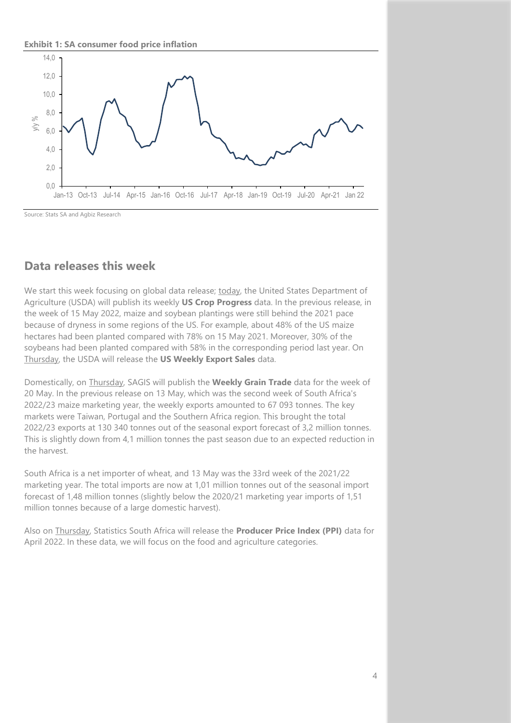**Exhibit 1: SA consumer food price inflation**



Source: Stats SA and Agbiz Research

### **Data releases this week**

We start this week focusing on global data release; today, the United States Department of Agriculture (USDA) will publish its weekly **US Crop Progress** data. In the previous release, in the week of 15 May 2022, maize and soybean plantings were still behind the 2021 pace because of dryness in some regions of the US. For example, about 48% of the US maize hectares had been planted compared with 78% on 15 May 2021. Moreover, 30% of the soybeans had been planted compared with 58% in the corresponding period last year. On Thursday, the USDA will release the **US Weekly Export Sales** data.

Domestically, on Thursday, SAGIS will publish the **Weekly Grain Trade** data for the week of 20 May. In the previous release on 13 May, which was the second week of South Africa's 2022/23 maize marketing year, the weekly exports amounted to 67 093 tonnes. The key markets were Taiwan, Portugal and the Southern Africa region. This brought the total 2022/23 exports at 130 340 tonnes out of the seasonal export forecast of 3,2 million tonnes. This is slightly down from 4,1 million tonnes the past season due to an expected reduction in the harvest.

South Africa is a net importer of wheat, and 13 May was the 33rd week of the 2021/22 marketing year. The total imports are now at 1,01 million tonnes out of the seasonal import forecast of 1,48 million tonnes (slightly below the 2020/21 marketing year imports of 1,51 million tonnes because of a large domestic harvest).

Also on Thursday, Statistics South Africa will release the **Producer Price Index (PPI)** data for April 2022. In these data, we will focus on the food and agriculture categories.